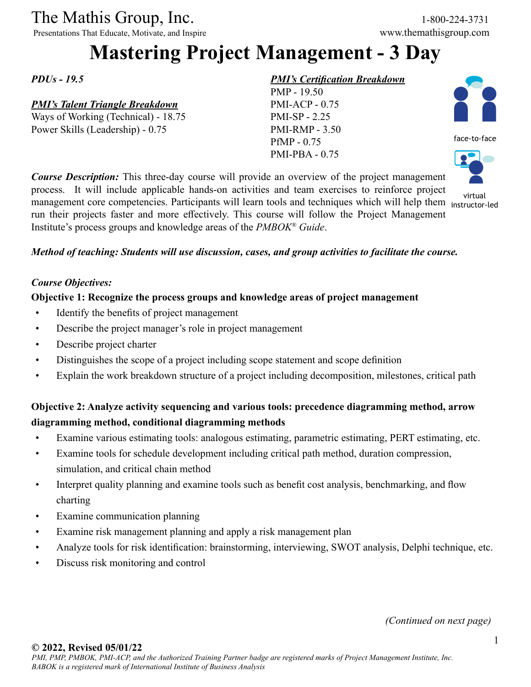# The Mathis Group, Inc. 1-800-224-3731<br>
Presentations That Educate, Motivate, and Inspire www.themathisgroup.com

Presentations That Educate, Motivate, and Inspire

## **Mastering Project Management - 3 Day**

*PDUs - 19.5*

#### *PMI's Talent Triangle Breakdown*

Ways of Working (Technical) - 18.75 Power Skills (Leadership) - 0.75

#### *PMI's Certification Breakdown*

PMP - 19.50 PMI-ACP - 0.75 PMI-SP - 2.25 PMI-RMP - 3.50 PfMP - 0.75 PMI-PBA - 0.75





instructor-led

process. It will include applicable hands-on activities and team exercises to reinforce project virtual<br>management core competencies. Participants will learn tools and techniques which will help them instructorrun their projects faster and more effectively. This course will follow the Project Management Institute's process groups and knowledge areas of the *PMBOK® Guide*.

*Course Description:* This three-day course will provide an overview of the project management

#### *Method of teaching: Students will use discussion, cases, and group activities to facilitate the course.*

#### *Course Objectives:*

#### **Objective 1: Recognize the process groups and knowledge areas of project management**

- Identify the benefits of project management
- Describe the project manager's role in project management
- Describe project charter
- Distinguishes the scope of a project including scope statement and scope definition
- Explain the work breakdown structure of a project including decomposition, milestones, critical path

#### **Objective 2: Analyze activity sequencing and various tools: precedence diagramming method, arrow diagramming method, conditional diagramming methods**

- Examine various estimating tools: analogous estimating, parametric estimating, PERT estimating, etc.
- Examine tools for schedule development including critical path method, duration compression, simulation, and critical chain method
- Interpret quality planning and examine tools such as benefit cost analysis, benchmarking, and flow charting
- Examine communication planning
- Examine risk management planning and apply a risk management plan
- Analyze tools for risk identification: brainstorming, interviewing, SWOT analysis, Delphi technique, etc.
- Discuss risk monitoring and control

*(Continued on next page)*

#### **© 2022, Revised 05/01/22**